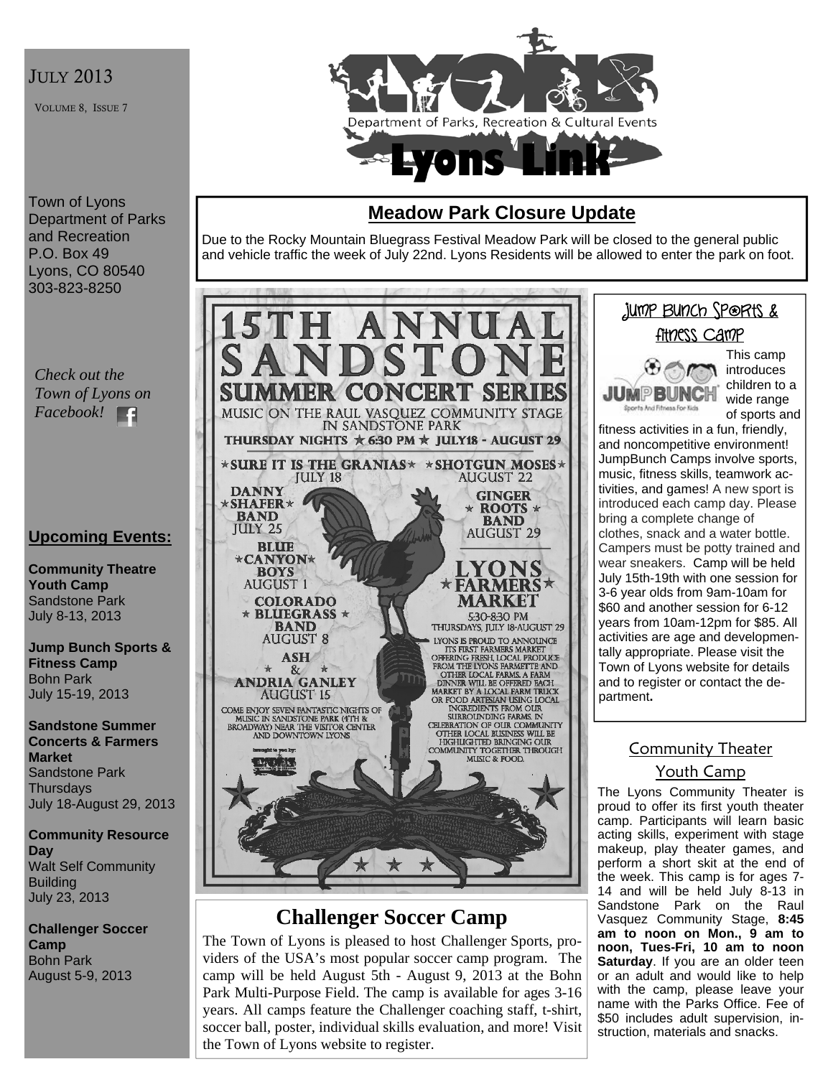## **JULY 2013**

VOLUME 8, ISSUE 7



#### Town of Lyons Department of Parks and Recreation P.O. Box 49 Lyons, CO 80540 303-823-8250

*Check out the Town of Lyons on Facebook!*  E

## **Upcoming Events:**

**Community Theatre Youth Camp**  Sandstone Park July 8-13, 2013

**Jump Bunch Sports & Fitness Camp**  Bohn Park July 15-19, 2013

**Sandstone Summer Concerts & Farmers Market**  Sandstone Park **Thursdays** July 18-August 29, 2013

**Community Resource Day**  Walt Self Community Building July 23, 2013

**Challenger Soccer Camp**  Bohn Park August 5-9, 2013

# **Meadow Park Closure Update**

Due to the Rocky Mountain Bluegrass Festival Meadow Park will be closed to the general public and vehicle traffic the week of July 22nd. Lyons Residents will be allowed to enter the park on foot.



# **Challenger Soccer Camp**

The Town of Lyons is pleased to host Challenger Sports, providers of the USA's most popular soccer camp program. The camp will be held August 5th - August 9, 2013 at the Bohn Park Multi-Purpose Field. The camp is available for ages 3-16 years. All camps feature the Challenger coaching staff, t-shirt, soccer ball, poster, individual skills evaluation, and more! Visit the Town of Lyons website to register.

# Jump Bunch Sports & Fitness Camp This camp



introduces children to a wide range of sports and

fitness activities in a fun, friendly, and noncompetitive environment! JumpBunch Camps involve sports, music, fitness skills, teamwork activities, and games! A new sport is introduced each camp day. Please bring a complete change of clothes, snack and a water bottle. Campers must be potty trained and wear sneakers. Camp will be held July 15th-19th with one session for 3-6 year olds from 9am-10am for \$60 and another session for 6-12 years from 10am-12pm for \$85. All activities are age and developmentally appropriate. Please visit the Town of Lyons website for details and to register or contact the department**.** 

## Community Theater Youth Camp

The Lyons Community Theater is proud to offer its first youth theater camp. Participants will learn basic acting skills, experiment with stage makeup, play theater games, and perform a short skit at the end of the week. This camp is for ages 7- 14 and will be held July 8-13 in Sandstone Park on the Raul Vasquez Community Stage, **8:45 am to noon on Mon., 9 am to noon, Tues-Fri, 10 am to noon Saturday.** If you are an older teen or an adult and would like to help with the camp, please leave your name with the Parks Office. Fee of \$50 includes adult supervision, instruction, materials and snacks.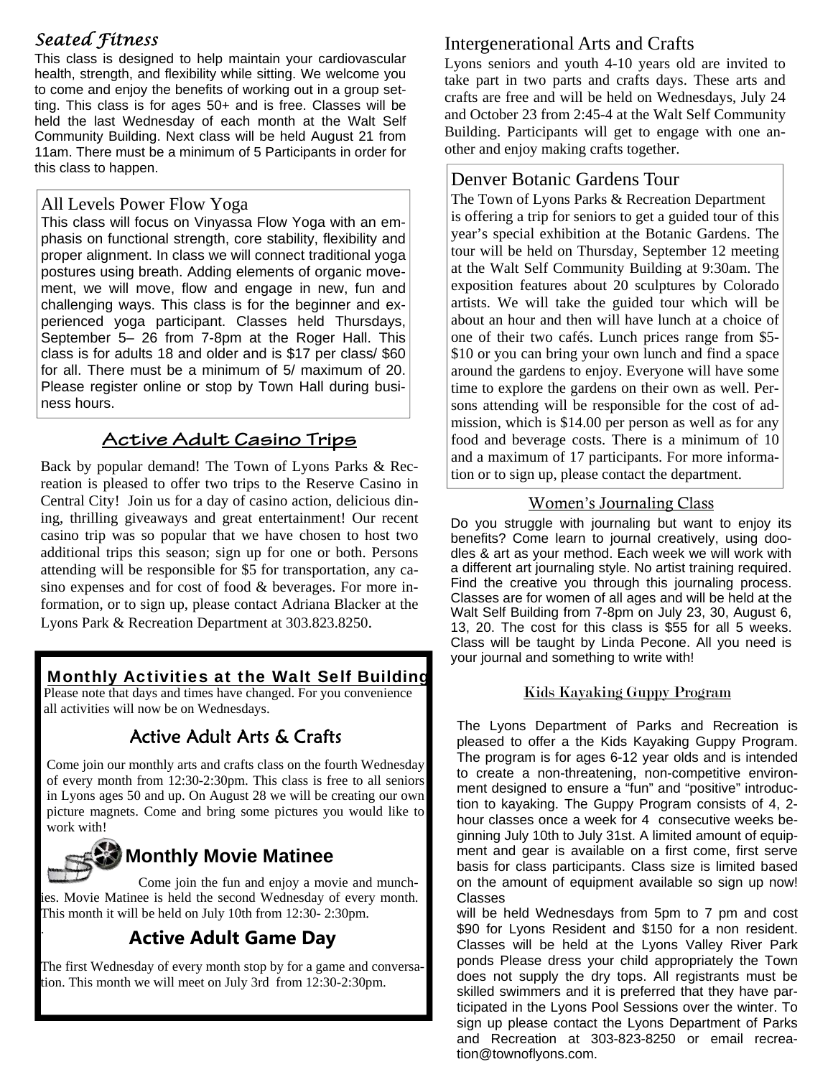# *Seated Fitness*

This class is designed to help maintain your cardiovascular health, strength, and flexibility while sitting. We welcome you to come and enjoy the benefits of working out in a group setting. This class is for ages 50+ and is free. Classes will be held the last Wednesday of each month at the Walt Self Community Building. Next class will be held August 21 from 11am. There must be a minimum of 5 Participants in order for this class to happen.<br>
Denver Botanic Gardens Tour

#### All Levels Power Flow Yoga

This class will focus on Vinyassa Flow Yoga with an emphasis on functional strength, core stability, flexibility and proper alignment. In class we will connect traditional yoga postures using breath. Adding elements of organic movement, we will move, flow and engage in new, fun and challenging ways. This class is for the beginner and experienced yoga participant. Classes held Thursdays, September 5– 26 from 7-8pm at the Roger Hall. This class is for adults 18 and older and is \$17 per class/ \$60 for all. There must be a minimum of 5/ maximum of 20. Please register online or stop by Town Hall during business hours.

# **Active Adult Casino Trips**

Back by popular demand! The Town of Lyons Parks & Recreation is pleased to offer two trips to the Reserve Casino in Central City! Join us for a day of casino action, delicious dining, thrilling giveaways and great entertainment! Our recent casino trip was so popular that we have chosen to host two additional trips this season; sign up for one or both. Persons attending will be responsible for \$5 for transportation, any casino expenses and for cost of food & beverages. For more information, or to sign up, please contact Adriana Blacker at the Lyons Park & Recreation Department at 303.823.8250.

# Monthly Activities at the Walt Self Building

Please note that days and times have changed. For you convenience all activities will now be on Wednesdays.

# Active Adult Arts & Crafts

Come join our monthly arts and crafts class on the fourth Wednesday of every month from 12:30-2:30pm. This class is free to all seniors in Lyons ages 50 and up. On August 28 we will be creating our own picture magnets. Come and bring some pictures you would like to work with!



.

# **Monthly Movie Matinee**

 Come join the fun and enjoy a movie and munchies. Movie Matinee is held the second Wednesday of every month. This month it will be held on July 10th from 12:30- 2:30pm.

# **Active Adult Game Day**

The first Wednesday of every month stop by for a game and conversation. This month we will meet on July 3rd from 12:30-2:30pm.

# Intergenerational Arts and Crafts

Lyons seniors and youth 4-10 years old are invited to take part in two parts and crafts days. These arts and crafts are free and will be held on Wednesdays, July 24 and October 23 from 2:45-4 at the Walt Self Community Building. Participants will get to engage with one another and enjoy making crafts together.

The Town of Lyons Parks & Recreation Department is offering a trip for seniors to get a guided tour of this year's special exhibition at the Botanic Gardens. The tour will be held on Thursday, September 12 meeting at the Walt Self Community Building at 9:30am. The exposition features about 20 sculptures by Colorado artists. We will take the guided tour which will be about an hour and then will have lunch at a choice of one of their two cafés. Lunch prices range from \$5- \$10 or you can bring your own lunch and find a space around the gardens to enjoy. Everyone will have some time to explore the gardens on their own as well. Persons attending will be responsible for the cost of admission, which is \$14.00 per person as well as for any food and beverage costs. There is a minimum of 10 and a maximum of 17 participants. For more information or to sign up, please contact the department.

#### Women's Journaling Class

Do you struggle with journaling but want to enjoy its benefits? Come learn to journal creatively, using doodles & art as your method. Each week we will work with a different art journaling style. No artist training required. Find the creative you through this journaling process. Classes are for women of all ages and will be held at the Walt Self Building from 7-8pm on July 23, 30, August 6, 13, 20. The cost for this class is \$55 for all 5 weeks. Class will be taught by Linda Pecone. All you need is your journal and something to write with!

#### Kids Kayaking Guppy Program

The Lyons Department of Parks and Recreation is pleased to offer a the Kids Kayaking Guppy Program. The program is for ages 6-12 year olds and is intended to create a non-threatening, non-competitive environment designed to ensure a "fun" and "positive" introduction to kayaking. The Guppy Program consists of 4, 2 hour classes once a week for 4 consecutive weeks beginning July 10th to July 31st. A limited amount of equipment and gear is available on a first come, first serve basis for class participants. Class size is limited based on the amount of equipment available so sign up now! Classes

will be held Wednesdays from 5pm to 7 pm and cost \$90 for Lyons Resident and \$150 for a non resident. Classes will be held at the Lyons Valley River Park ponds Please dress your child appropriately the Town does not supply the dry tops. All registrants must be skilled swimmers and it is preferred that they have participated in the Lyons Pool Sessions over the winter. To sign up please contact the Lyons Department of Parks and Recreation at 303-823-8250 or email recreation@townoflyons.com.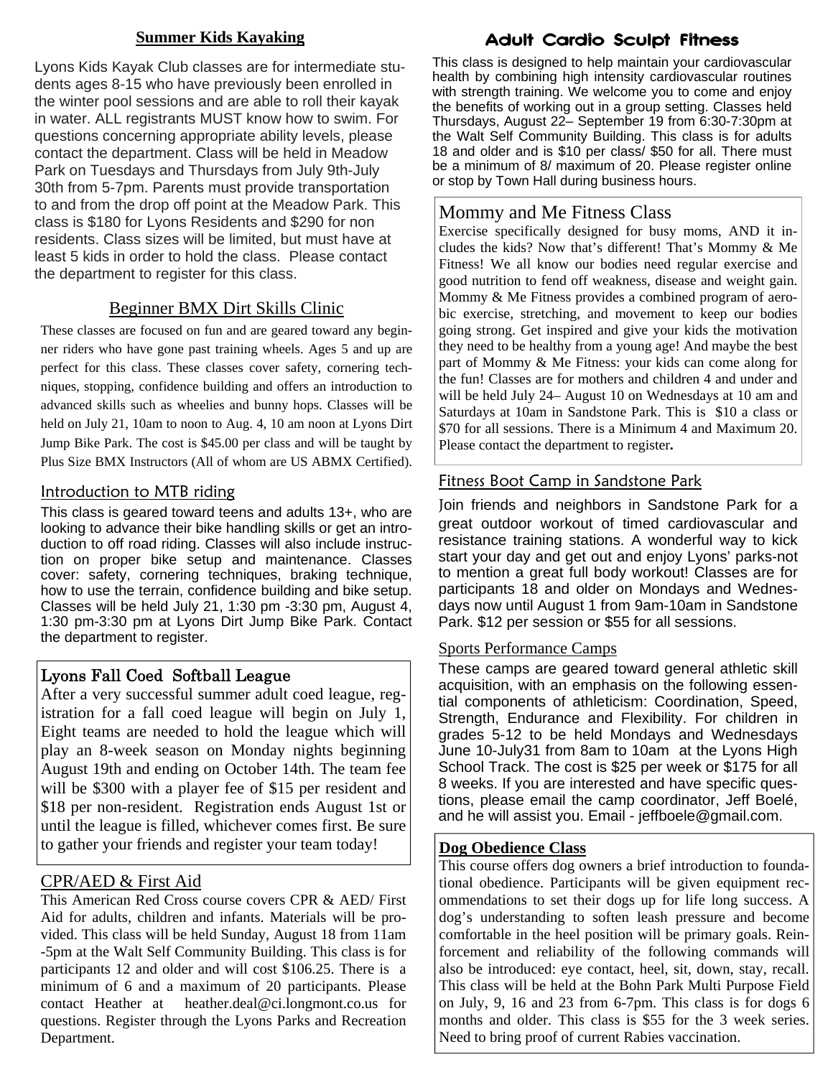#### **Summer Kids Kayaking**

Lyons Kids Kayak Club classes are for intermediate students ages 8-15 who have previously been enrolled in the winter pool sessions and are able to roll their kayak in water. ALL registrants MUST know how to swim. For questions concerning appropriate ability levels, please contact the department. Class will be held in Meadow Park on Tuesdays and Thursdays from July 9th-July 30th from 5-7pm. Parents must provide transportation to and from the drop off point at the Meadow Park. This class is \$180 for Lyons Residents and \$290 for non residents. Class sizes will be limited, but must have at least 5 kids in order to hold the class. Please contact the department to register for this class.

#### Beginner BMX Dirt Skills Clinic

These classes are focused on fun and are geared toward any beginner riders who have gone past training wheels. Ages 5 and up are perfect for this class. These classes cover safety, cornering techniques, stopping, confidence building and offers an introduction to advanced skills such as wheelies and bunny hops. Classes will be held on July 21, 10am to noon to Aug. 4, 10 am noon at Lyons Dirt Jump Bike Park. The cost is \$45.00 per class and will be taught by Plus Size BMX Instructors (All of whom are US ABMX Certified).

#### Introduction to MTB riding

This class is geared toward teens and adults 13+, who are looking to advance their bike handling skills or get an introduction to off road riding. Classes will also include instruction on proper bike setup and maintenance. Classes cover: safety, cornering techniques, braking technique, how to use the terrain, confidence building and bike setup. Classes will be held July 21, 1:30 pm -3:30 pm, August 4, 1:30 pm-3:30 pm at Lyons Dirt Jump Bike Park. Contact the department to register.

#### Lyons Fall Coed Softball League

After a very successful summer adult coed league, registration for a fall coed league will begin on July 1, Eight teams are needed to hold the league which will play an 8-week season on Monday nights beginning August 19th and ending on October 14th. The team fee will be \$300 with a player fee of \$15 per resident and \$18 per non-resident. Registration ends August 1st or until the league is filled, whichever comes first. Be sure to gather your friends and register your team today!

#### CPR/AED & First Aid

This American Red Cross course covers CPR & AED/ First Aid for adults, children and infants. Materials will be provided. This class will be held Sunday, August 18 from 11am -5pm at the Walt Self Community Building. This class is for participants 12 and older and will cost \$106.25. There is a minimum of 6 and a maximum of 20 participants. Please contact Heather at heather.deal@ci.longmont.co.us for questions. Register through the Lyons Parks and Recreation Department.

### Adult Cardio Sculpt Fitness

This class is designed to help maintain your cardiovascular health by combining high intensity cardiovascular routines with strength training. We welcome you to come and enjoy the benefits of working out in a group setting. Classes held Thursdays, August 22– September 19 from 6:30-7:30pm at the Walt Self Community Building. This class is for adults 18 and older and is \$10 per class/ \$50 for all. There must be a minimum of 8/ maximum of 20. Please register online or stop by Town Hall during business hours.

#### Mommy and Me Fitness Class

Exercise specifically designed for busy moms, AND it includes the kids? Now that's different! That's Mommy & Me Fitness! We all know our bodies need regular exercise and good nutrition to fend off weakness, disease and weight gain. Mommy & Me Fitness provides a combined program of aerobic exercise, stretching, and movement to keep our bodies going strong. Get inspired and give your kids the motivation they need to be healthy from a young age! And maybe the best part of Mommy & Me Fitness: your kids can come along for the fun! Classes are for mothers and children 4 and under and will be held July 24– August 10 on Wednesdays at 10 am and Saturdays at 10am in Sandstone Park. This is \$10 a class or \$70 for all sessions. There is a Minimum 4 and Maximum 20. Please contact the department to register**.** 

#### Fitness Boot Camp in Sandstone Park

Join friends and neighbors in Sandstone Park for a great outdoor workout of timed cardiovascular and resistance training stations. A wonderful way to kick start your day and get out and enjoy Lyons' parks-not to mention a great full body workout! Classes are for participants 18 and older on Mondays and Wednesdays now until August 1 from 9am-10am in Sandstone Park. \$12 per session or \$55 for all sessions.

#### Sports Performance Camps

These camps are geared toward general athletic skill acquisition, with an emphasis on the following essential components of athleticism: Coordination, Speed, Strength, Endurance and Flexibility. For children in grades 5-12 to be held Mondays and Wednesdays June 10-July31 from 8am to 10am at the Lyons High School Track. The cost is \$25 per week or \$175 for all 8 weeks. If you are interested and have specific questions, please email the camp coordinator, Jeff Boelé, and he will assist you. Email - jeffboele@gmail.com.

#### **Dog Obedience Class**

This course offers dog owners a brief introduction to foundational obedience. Participants will be given equipment recommendations to set their dogs up for life long success. A dog's understanding to soften leash pressure and become comfortable in the heel position will be primary goals. Reinforcement and reliability of the following commands will also be introduced: eye contact, heel, sit, down, stay, recall. This class will be held at the Bohn Park Multi Purpose Field on July, 9, 16 and 23 from 6-7pm. This class is for dogs 6 months and older. This class is \$55 for the 3 week series. Need to bring proof of current Rabies vaccination.